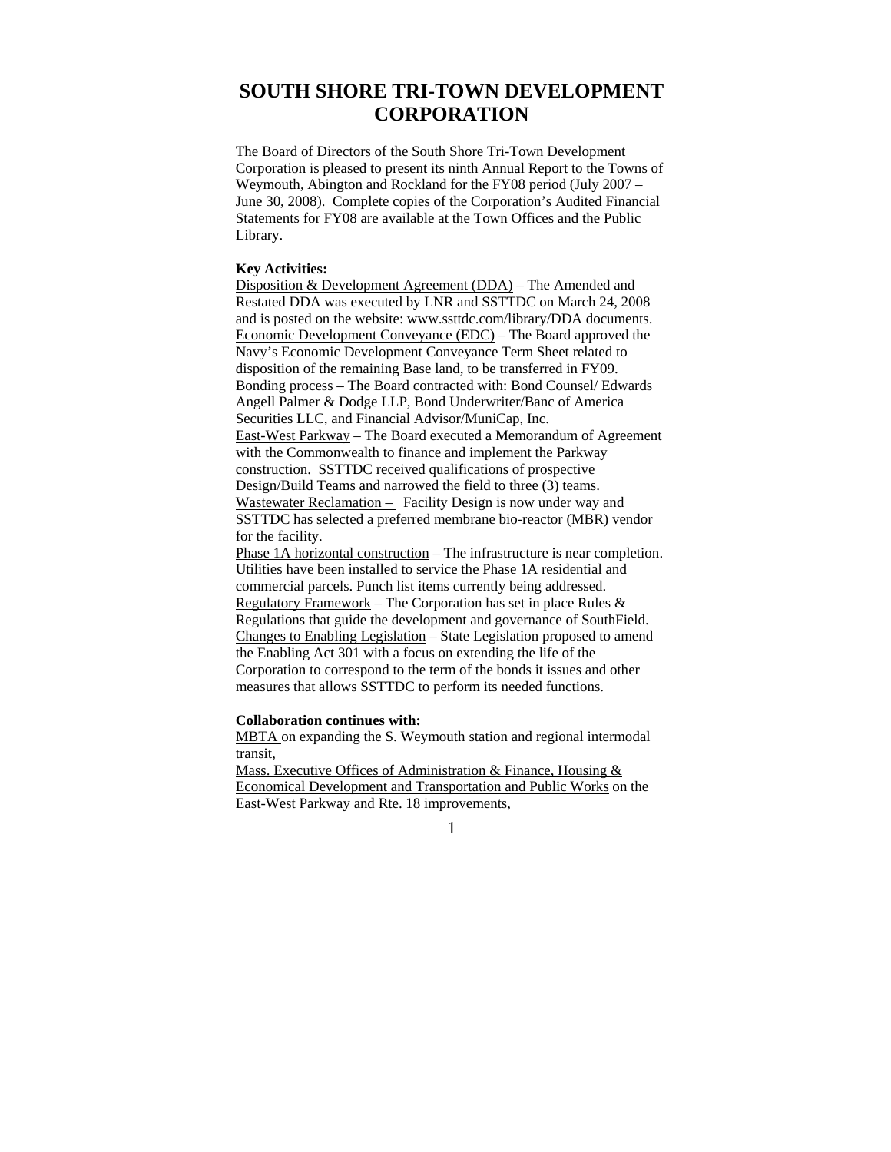# **SOUTH SHORE TRI-TOWN DEVELOPMENT CORPORATION**

The Board of Directors of the South Shore Tri-Town Development Corporation is pleased to present its ninth Annual Report to the Towns of Weymouth, Abington and Rockland for the FY08 period (July 2007 – June 30, 2008). Complete copies of the Corporation's Audited Financial Statements for FY08 are available at the Town Offices and the Public Library.

# **Key Activities:**

Disposition & Development Agreement (DDA) – The Amended and Restated DDA was executed by LNR and SSTTDC on March 24, 2008 and is posted on the website: www.ssttdc.com/library/DDA documents. Economic Development Conveyance (EDC) – The Board approved the Navy's Economic Development Conveyance Term Sheet related to disposition of the remaining Base land, to be transferred in FY09. Bonding process – The Board contracted with: Bond Counsel/ Edwards Angell Palmer & Dodge LLP, Bond Underwriter/Banc of America Securities LLC, and Financial Advisor/MuniCap, Inc. East-West Parkway – The Board executed a Memorandum of Agreement with the Commonwealth to finance and implement the Parkway construction. SSTTDC received qualifications of prospective Design/Build Teams and narrowed the field to three (3) teams. Wastewater Reclamation – Facility Design is now under way and SSTTDC has selected a preferred membrane bio-reactor (MBR) vendor for the facility.

Phase 1A horizontal construction – The infrastructure is near completion. Utilities have been installed to service the Phase 1A residential and commercial parcels. Punch list items currently being addressed. Regulatory Framework – The Corporation has set in place Rules & Regulations that guide the development and governance of SouthField. Changes to Enabling Legislation – State Legislation proposed to amend the Enabling Act 301 with a focus on extending the life of the Corporation to correspond to the term of the bonds it issues and other measures that allows SSTTDC to perform its needed functions.

#### **Collaboration continues with:**

MBTA on expanding the S. Weymouth station and regional intermodal transit,

Mass. Executive Offices of Administration & Finance, Housing & Economical Development and Transportation and Public Works on the East-West Parkway and Rte. 18 improvements,

1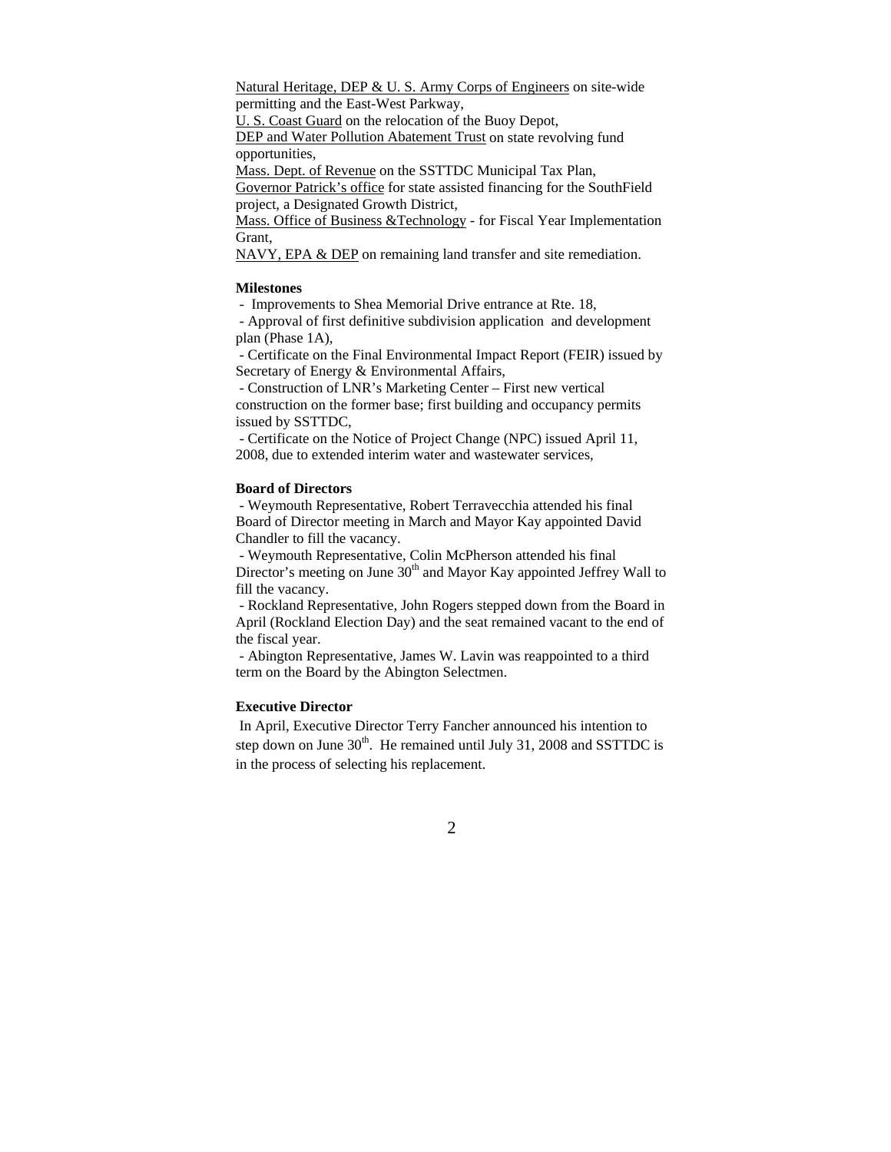Natural Heritage, DEP & U. S. Army Corps of Engineers on site-wide permitting and the East-West Parkway,

U. S. Coast Guard on the relocation of the Buoy Depot, DEP and Water Pollution Abatement Trust on state revolving fund

opportunities,

Mass. Dept. of Revenue on the SSTTDC Municipal Tax Plan,

Governor Patrick's office for state assisted financing for the SouthField project, a Designated Growth District,

Mass. Office of Business &Technology - for Fiscal Year Implementation Grant,

NAVY, EPA & DEP on remaining land transfer and site remediation.

### **Milestones**

- Improvements to Shea Memorial Drive entrance at Rte. 18,

 - Approval of first definitive subdivision application and development plan (Phase 1A),

 - Certificate on the Final Environmental Impact Report (FEIR) issued by Secretary of Energy & Environmental Affairs,

 - Construction of LNR's Marketing Center – First new vertical construction on the former base; first building and occupancy permits issued by SSTTDC,

 - Certificate on the Notice of Project Change (NPC) issued April 11, 2008, due to extended interim water and wastewater services,

#### **Board of Directors**

 - Weymouth Representative, Robert Terravecchia attended his final Board of Director meeting in March and Mayor Kay appointed David Chandler to fill the vacancy.

 - Weymouth Representative, Colin McPherson attended his final Director's meeting on June  $30<sup>th</sup>$  and Mayor Kay appointed Jeffrey Wall to fill the vacancy.

 - Rockland Representative, John Rogers stepped down from the Board in April (Rockland Election Day) and the seat remained vacant to the end of the fiscal year.

 - Abington Representative, James W. Lavin was reappointed to a third term on the Board by the Abington Selectmen.

# **Executive Director**

 In April, Executive Director Terry Fancher announced his intention to step down on June  $30<sup>th</sup>$ . He remained until July 31, 2008 and SSTTDC is in the process of selecting his replacement.